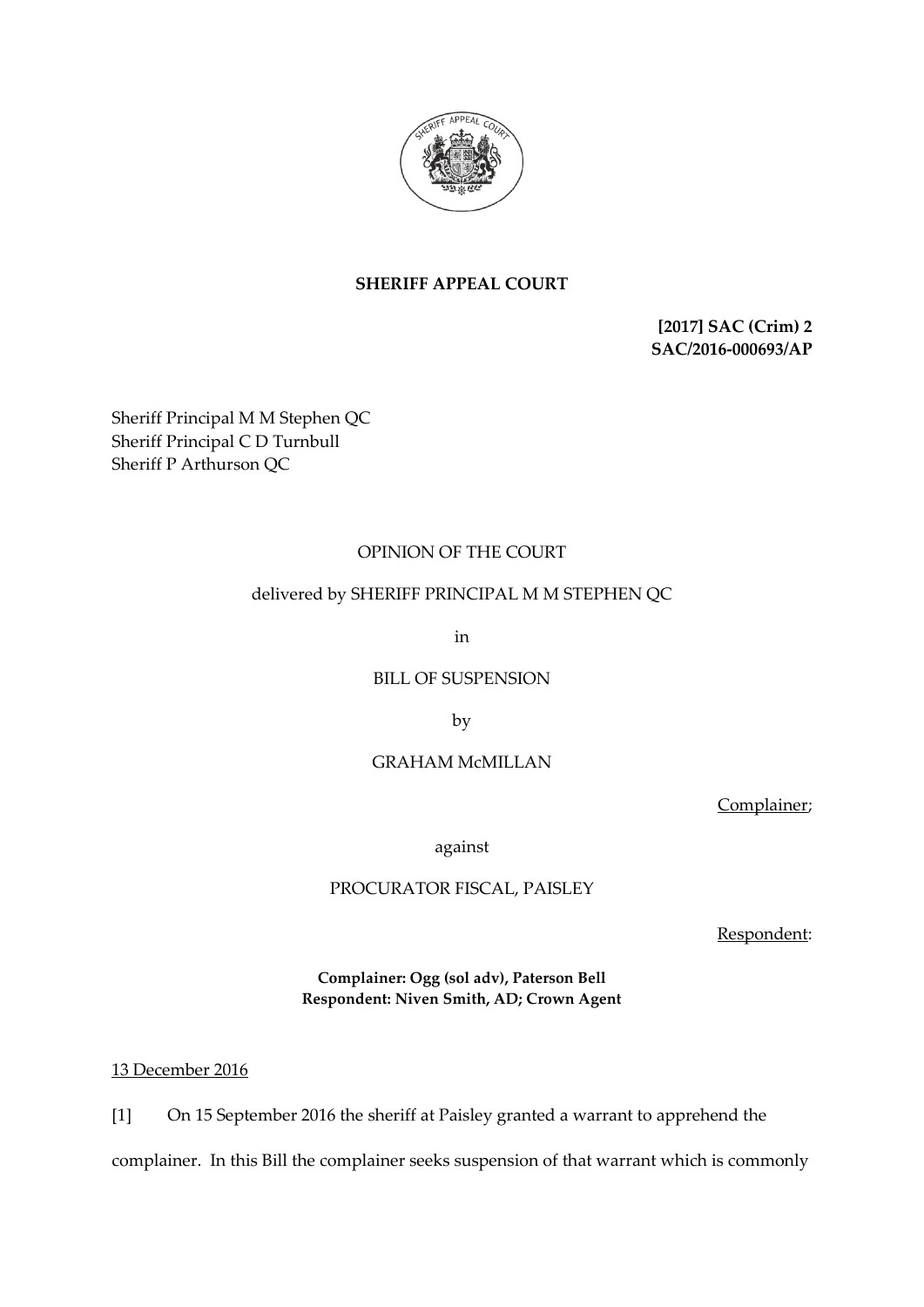

## **SHERIFF APPEAL COURT**

**[2017] SAC (Crim) 2 SAC/2016-000693/AP**

Sheriff Principal M M Stephen QC Sheriff Principal C D Turnbull Sheriff P Arthurson QC

# OPINION OF THE COURT

### delivered by SHERIFF PRINCIPAL M M STEPHEN QC

in

BILL OF SUSPENSION

by

### GRAHAM McMILLAN

Complainer;

against

### PROCURATOR FISCAL, PAISLEY

Respondent:

**Complainer: Ogg (sol adv), Paterson Bell Respondent: Niven Smith, AD; Crown Agent**

13 December 2016

[1] On 15 September 2016 the sheriff at Paisley granted a warrant to apprehend the

complainer. In this Bill the complainer seeks suspension of that warrant which is commonly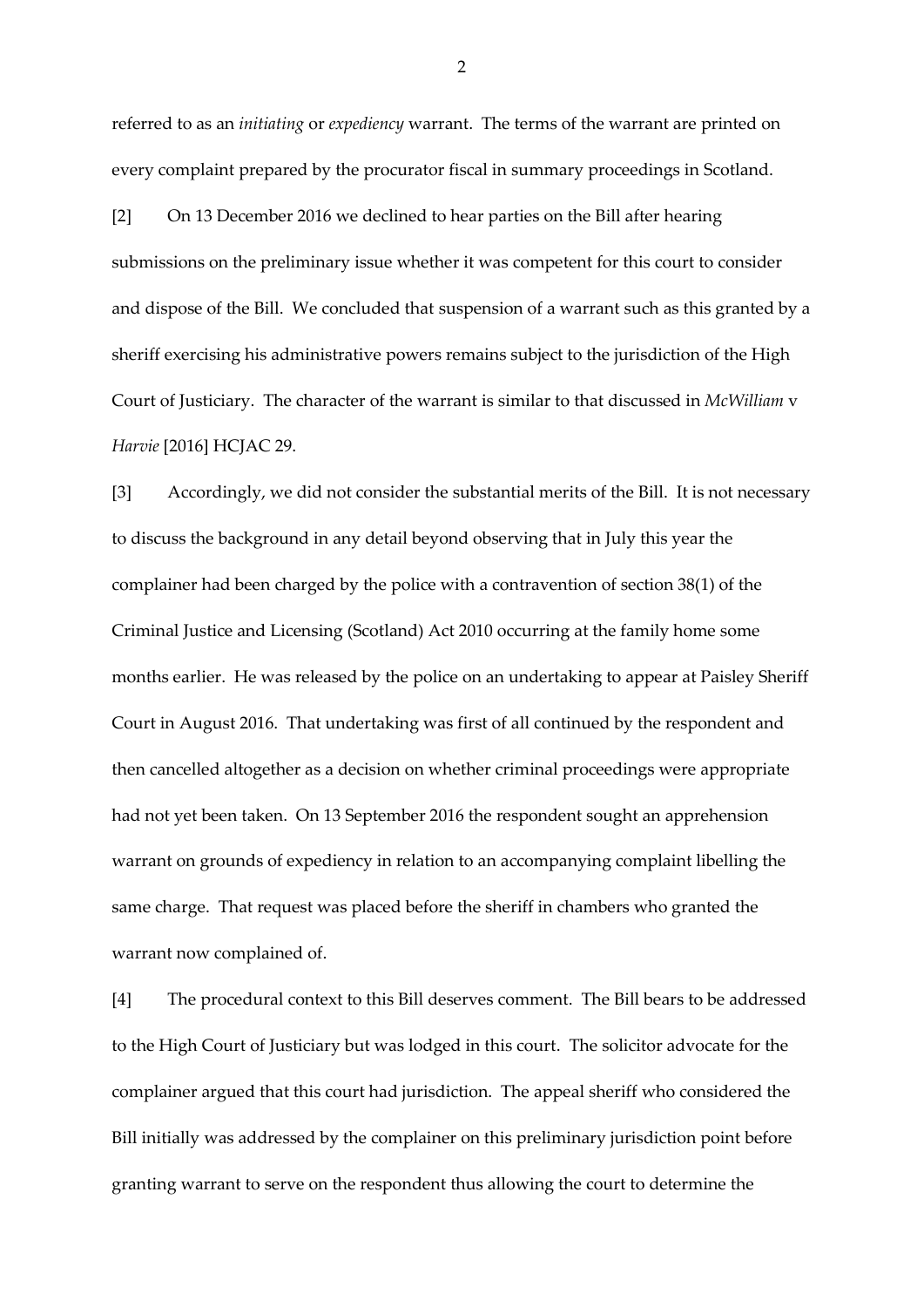referred to as an *initiating* or *expediency* warrant. The terms of the warrant are printed on every complaint prepared by the procurator fiscal in summary proceedings in Scotland.

[2] On 13 December 2016 we declined to hear parties on the Bill after hearing submissions on the preliminary issue whether it was competent for this court to consider and dispose of the Bill. We concluded that suspension of a warrant such as this granted by a sheriff exercising his administrative powers remains subject to the jurisdiction of the High Court of Justiciary. The character of the warrant is similar to that discussed in *McWilliam* v *Harvie* [2016] HCJAC 29.

[3] Accordingly, we did not consider the substantial merits of the Bill. It is not necessary to discuss the background in any detail beyond observing that in July this year the complainer had been charged by the police with a contravention of section 38(1) of the Criminal Justice and Licensing (Scotland) Act 2010 occurring at the family home some months earlier. He was released by the police on an undertaking to appear at Paisley Sheriff Court in August 2016. That undertaking was first of all continued by the respondent and then cancelled altogether as a decision on whether criminal proceedings were appropriate had not yet been taken. On 13 September 2016 the respondent sought an apprehension warrant on grounds of expediency in relation to an accompanying complaint libelling the same charge. That request was placed before the sheriff in chambers who granted the warrant now complained of.

[4] The procedural context to this Bill deserves comment. The Bill bears to be addressed to the High Court of Justiciary but was lodged in this court. The solicitor advocate for the complainer argued that this court had jurisdiction. The appeal sheriff who considered the Bill initially was addressed by the complainer on this preliminary jurisdiction point before granting warrant to serve on the respondent thus allowing the court to determine the

2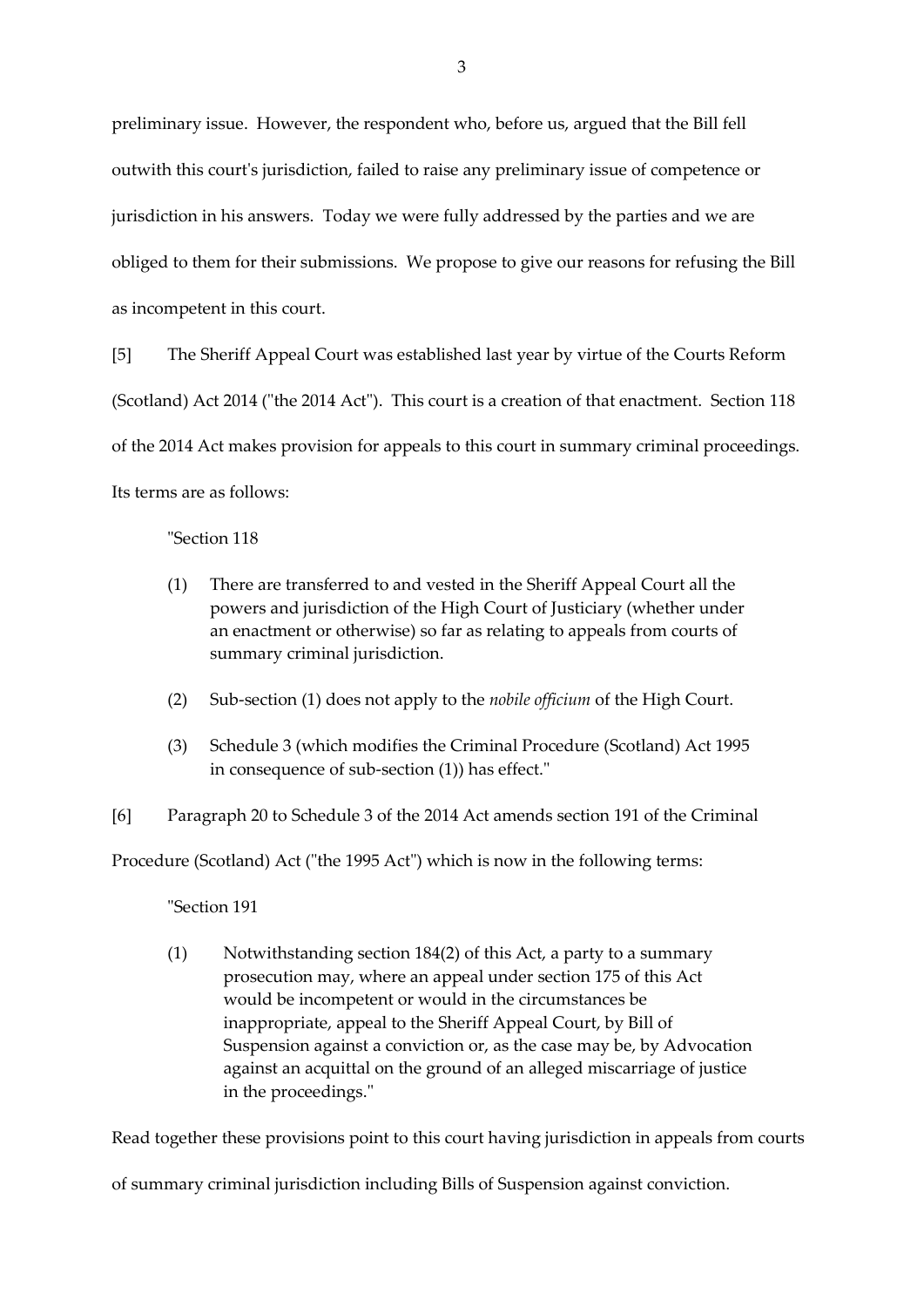preliminary issue. However, the respondent who, before us, argued that the Bill fell outwith this court's jurisdiction, failed to raise any preliminary issue of competence or jurisdiction in his answers. Today we were fully addressed by the parties and we are obliged to them for their submissions. We propose to give our reasons for refusing the Bill as incompetent in this court.

[5] The Sheriff Appeal Court was established last year by virtue of the Courts Reform (Scotland) Act 2014 ("the 2014 Act"). This court is a creation of that enactment. Section 118 of the 2014 Act makes provision for appeals to this court in summary criminal proceedings. Its terms are as follows:

"Section 118

- (1) There are transferred to and vested in the Sheriff Appeal Court all the powers and jurisdiction of the High Court of Justiciary (whether under an enactment or otherwise) so far as relating to appeals from courts of summary criminal jurisdiction.
- (2) Sub-section (1) does not apply to the *nobile officium* of the High Court.
- (3) Schedule 3 (which modifies the Criminal Procedure (Scotland) Act 1995 in consequence of sub-section (1)) has effect."
- [6] Paragraph 20 to Schedule 3 of the 2014 Act amends section 191 of the Criminal

Procedure (Scotland) Act ("the 1995 Act") which is now in the following terms:

#### "Section 191

(1) Notwithstanding section 184(2) of this Act, a party to a summary prosecution may, where an appeal under section 175 of this Act would be incompetent or would in the circumstances be inappropriate, appeal to the Sheriff Appeal Court, by Bill of Suspension against a conviction or, as the case may be, by Advocation against an acquittal on the ground of an alleged miscarriage of justice in the proceedings."

Read together these provisions point to this court having jurisdiction in appeals from courts

of summary criminal jurisdiction including Bills of Suspension against conviction.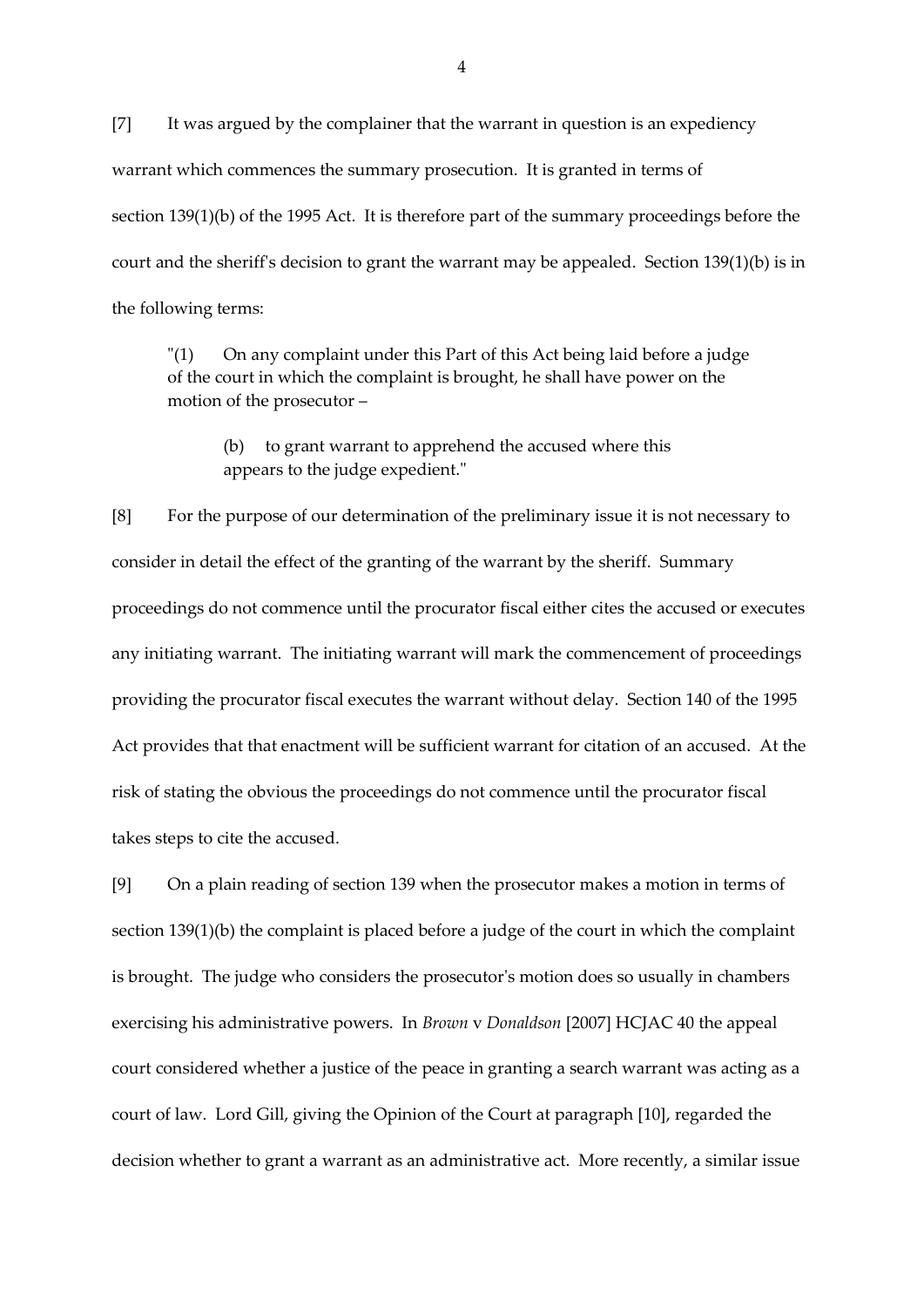[7] It was argued by the complainer that the warrant in question is an expediency warrant which commences the summary prosecution. It is granted in terms of section 139(1)(b) of the 1995 Act. It is therefore part of the summary proceedings before the court and the sheriff's decision to grant the warrant may be appealed. Section 139(1)(b) is in the following terms:

"(1) On any complaint under this Part of this Act being laid before a judge of the court in which the complaint is brought, he shall have power on the motion of the prosecutor –

(b) to grant warrant to apprehend the accused where this appears to the judge expedient."

[8] For the purpose of our determination of the preliminary issue it is not necessary to consider in detail the effect of the granting of the warrant by the sheriff. Summary proceedings do not commence until the procurator fiscal either cites the accused or executes any initiating warrant. The initiating warrant will mark the commencement of proceedings providing the procurator fiscal executes the warrant without delay. Section 140 of the 1995 Act provides that that enactment will be sufficient warrant for citation of an accused. At the risk of stating the obvious the proceedings do not commence until the procurator fiscal takes steps to cite the accused.

[9] On a plain reading of section 139 when the prosecutor makes a motion in terms of section 139(1)(b) the complaint is placed before a judge of the court in which the complaint is brought. The judge who considers the prosecutor's motion does so usually in chambers exercising his administrative powers. In *Brown* v *Donaldson* [2007] HCJAC 40 the appeal court considered whether a justice of the peace in granting a search warrant was acting as a court of law. Lord Gill, giving the Opinion of the Court at paragraph [10], regarded the decision whether to grant a warrant as an administrative act. More recently, a similar issue